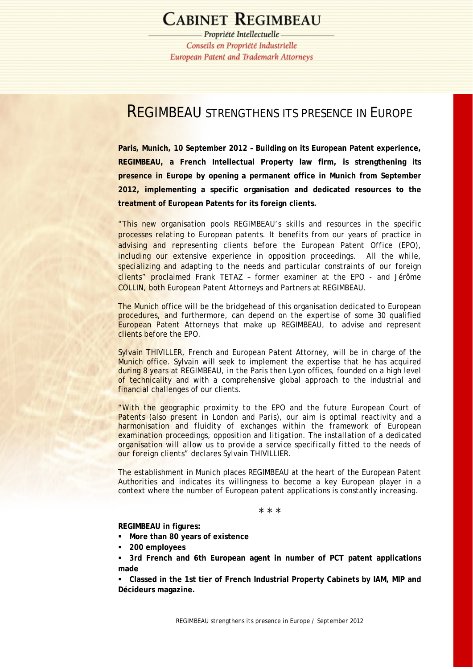# **CABINET REGIMBEAU**

Propriété Intellectuelle Conseils en Propriété Industrielle **European Patent and Trademark Attorneys** 

## REGIMBEAU STRENGTHENS ITS PRESENCE IN EUROPE

**Paris, Munich, 10 September 2012 – Building on its European Patent experience, REGIMBEAU, a French Intellectual Property law firm, is strengthening its presence in Europe by opening a permanent office in Munich from September 2012, implementing a specific organisation and dedicated resources to the treatment of European Patents for its foreign clients.** 

"*This new organisation pools REGIMBEAU's skills and resources in the specific processes relating to European patents. It benefits from our years of practice in advising and representing clients before the European Patent Office (EPO), including our extensive experience in opposition proceedings. All the while, specializing and adapting to the needs and particular constraints of our foreign clients*" proclaimed Frank TETAZ – former examiner at the EPO - and Jérôme COLLIN, both European Patent Attorneys and Partners at REGIMBEAU.

The Munich office will be the bridgehead of this organisation dedicated to European procedures, and furthermore, can depend on the expertise of some 30 qualified European Patent Attorneys that make up REGIMBEAU, to advise and represent clients before the EPO.

Sylvain THIVILLER, French and European Patent Attorney, will be in charge of the Munich office. Sylvain will seek to implement the expertise that he has acquired during 8 years at REGIMBEAU, in the Paris then Lyon offices, founded on a high level of technicality and with a comprehensive global approach to the industrial and financial challenges of our clients.

*"With the geographic proximity to the EPO and the future European Court of Patents (also present in London and Paris), our aim is optimal reactivity and a harmonisation and fluidity of exchanges within the framework of European examination proceedings, opposition and litigation. The installation of a dedicated organisation will allow us to provide a service specifically fitted to the needs of our foreign clients*" declares Sylvain THIVILLIER.

The establishment in Munich places REGIMBEAU at the heart of the European Patent Authorities and indicates its willingness to become a key European player in a context where the number of European patent applications is constantly increasing.

\* \* \*

**REGIMBEAU in figures:** 

- **More than 80 years of existence**
- **200 employees**

 **3rd French and 6th European agent in number of PCT patent applications made** 

 **Classed in the 1st tier of French Industrial Property Cabinets by IAM, MIP and Décideurs magazine.**